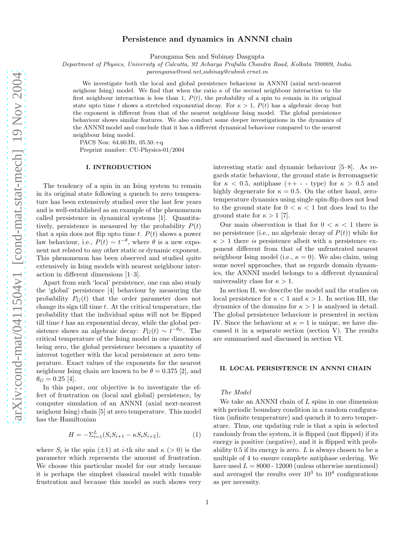# Persistence and dynamics in ANNNI chain

Parongama Sen and Subinay Dasgupta

Department of Physics, University of Calcutta, 92 Acharya Prafulla Chandra Road, Kolkata 700009, India.

parongama@vsnl.net,subinay@cubmb.ernet.in

We investigate both the local and global persistence behaviour in ANNNI (axial next-nearest neighour Ising) model. We find that when the ratio  $\kappa$  of the second neighbour interaction to the first neighbour interaction is less than 1,  $P(t)$ , the probability of a spin to remain in its original state upto time t shows a stretched exponential decay. For  $\kappa > 1$ ,  $P(t)$  has a algebraic decay but the exponent is different from that of the nearest neighbour Ising model. The global persistence behaviour shows similar features. We also conduct some deeper investigations in the dynamics of the ANNNI model and conclude that it has a different dynamical behaviour compared to the nearest neighbour Ising model.

PACS Nos: 64.60.Ht, 05.50.+q

Preprint number: CU-Physics-01/2004

## I. INTRODUCTION

The tendency of a spin in an Ising system to remain in its original state following a quench to zero temperature has been extensively studied over the last few years and is well-established as an example of the phenomenon called persistence in dynamical systems [1]. Quantitatively, persistence is measured by the probability  $P(t)$ that a spin does not flip upto time t.  $P(t)$  shows a power law behaviour, i.e.,  $P(t) \sim t^{-\theta}$ , where  $\theta$  is a new exponent not related to any other static or dynamic exponent. This phenomenon has been observed and studied quite extensively in Ising models with nearest neighbour interaction in different dimensions [1–3].

Apart from such 'local' persistence, one can also study the 'global' persistence [4] behaviour by measuring the probability  $P_G(t)$  that the order parameter does not change its sign till time  $t$ . At the critical temperature, the probability that the individual spins will not be flipped till time  $t$  has an exponential decay, while the global persistence shows an algebraic decay:  $P_G(t) \sim t^{-\theta_G}$ . The critical temperature of the Ising model in one dimension being zero, the global persistence becomes a quantity of interest together with the local persistence at zero temperature. Exact values of the exponents for the nearest neighbour Ising chain are known to be  $\theta = 0.375$  [2], and  $\theta_G = 0.25$  [4].

In this paper, our objective is to investigate the effect of frustration on (local and global) persistence, by computer simulation of an ANNNI (axial next-nearest neighour Ising) chain [5] at zero temperature. This model has the Hamiltonian

$$
H = -\Sigma_{i=1}^{L} (S_i S_{i+1} - \kappa S_i S_{i+2}), \tag{1}
$$

where  $S_i$  is the spin  $(\pm 1)$  at *i*-th site and  $\kappa$  (> 0) is the parameter which represents the amount of frustration. We choose this particular model for our study because it is perhaps the simplest classical model with tunable frustration and because this model as such shows very interesting static and dynamic behaviour [5–8]. As regards static behaviour, the ground state is ferromagnetic for  $\kappa$  < 0.5, antiphase (++ - - type) for  $\kappa > 0.5$  and highly degenerate for  $\kappa = 0.5$ . On the other hand, zerotemperature dynamics using single spin-flip does not lead to the ground state for  $0 < \kappa < 1$  but does lead to the ground state for  $\kappa > 1$  [7].

Our main observation is that for  $0 < \kappa < 1$  there is no persistence (i.e., no algebraic decay of  $P(t)$ ) while for  $\kappa > 1$  there is persistence albeit with a persistence exponent different from that of the unfrustrated nearest neighbour Ising model (i.e.,  $\kappa = 0$ ). We also claim, using some novel approaches, that as regards domain dynamics, the ANNNI model belongs to a different dynamical universality class for  $\kappa > 1$ .

In section II, we describe the model and the studies on local persistence for  $\kappa < 1$  and  $\kappa > 1$ . In section III, the dynamics of the domains for  $\kappa > 1$  is analysed in detail. The global persistence behaviour is presented in section IV. Since the behaviour at  $\kappa = 1$  is unique, we have discussed it in a separate section (section V). The results are summarised and discussed in section VI.

# II. LOCAL PERSISTENCE IN ANNNI CHAIN

#### The Model

We take an ANNNI chain of  $L$  spins in one dimension with periodic boundary condition in a random configuration (infinite temperature) and quench it to zero temperature. Thus, our updating rule is that a spin is selected randomly from the system, it is flipped (not flipped) if its energy is positive (negative), and it is flipped with probability  $0.5$  if its energy is zero.  $L$  is always chosen to be a multiple of 4 to ensure complete antiphase ordering. We have used  $L = 8000 - 12000$  (unless otherwise mentioned) and averaged the results over  $10^3$  to  $10^4$  configurations as per necessity.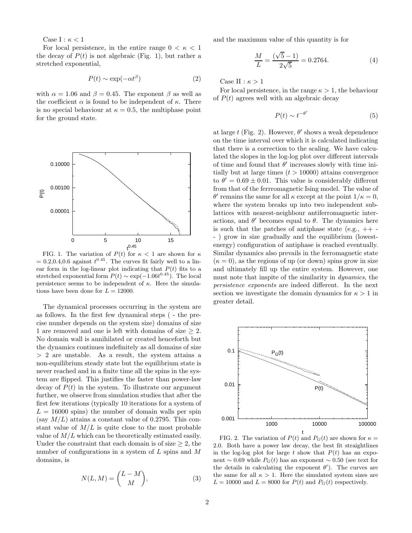Case I :  $\kappa$  < 1

For local persistence, in the entire range  $0 < \kappa < 1$ the decay of  $P(t)$  is not algebraic (Fig. 1), but rather a stretched exponential,

$$
P(t) \sim \exp(-\alpha t^{\beta})
$$
 (2)

with  $\alpha = 1.06$  and  $\beta = 0.45$ . The exponent  $\beta$  as well as the coefficient  $\alpha$  is found to be independent of  $\kappa$ . There is no special behaviour at  $\kappa = 0.5$ , the multiphase point for the ground state.



FIG. 1. The variation of  $P(t)$  for  $\kappa < 1$  are shown for  $\kappa$  $= 0.2, 0.4, 0.6$  against  $t^{0.45}$ . The curves fit fairly well to a linear form in the log-linear plot indicating that  $P(t)$  fits to a stretched exponential form  $P(t) \sim \exp(-1.06t^{0.45})$ . The local persistence seems to be independent of  $\kappa$ . Here the simulations have been done for  $L = 12000$ .

The dynamical processes occurring in the system are as follows. In the first few dynamical steps ( - the precise number depends on the system size) domains of size 1 are removed and one is left with domains of size ≥ 2. No domain wall is annihilated or created henceforth but the dynamics continues indefinitely as all domains of size > 2 are unstable. As a result, the system attains a non-equilibrium steady state but the equilibrium state is never reached and in a finite time all the spins in the system are flipped. This justifies the faster than power-law decay of  $P(t)$  in the system. To illustrate our argument further, we observe from simulation studies that after the first few iterations (typically 10 iterations for a system of  $L = 16000$  spins) the number of domain walls per spin (say  $M/L$ ) attains a constant value of 0.2795. This constant value of  $M/L$  is quite close to the most probable value of  $M/L$  which can be theoretically estimated easily. Under the constraint that each domain is of size  $\geq 2$ , the number of configurations in a system of  $L$  spins and  $M$ domains, is

$$
N(L, M) = \binom{L - M}{M},\tag{3}
$$

and the maximum value of this quantity is for

$$
\frac{M}{L} = \frac{(\sqrt{5} - 1)}{2\sqrt{5}} = 0.2764.
$$
 (4)

Case II :  $\kappa > 1$ 

For local persistence, in the range  $\kappa > 1$ , the behaviour of  $P(t)$  agrees well with an algebraic decay

$$
P(t) \sim t^{-\theta'} \tag{5}
$$

at large t (Fig. 2). However,  $\theta'$  shows a weak dependence on the time interval over which it is calculated indicating that there is a correction to the scaling. We have calculated the slopes in the log-log plot over different intervals of time and found that  $\theta'$  increases slowly with time initially but at large times  $(t > 10000)$  attains convergence to  $\theta' = 0.69 \pm 0.01$ . This value is considerably different from that of the ferrromagnetic Ising model. The value of θ' remains the same for all κ except at the point  $1/κ = 0$ , where the system breaks up into two independent sublattices with nearest-neighbour antiferromagnetic interactions, and  $\theta'$  becomes equal to  $\theta$ . The dynamics here is such that the patches of antiphase state (e.g.,  $++$ - ) grow in size gradually and the equilibrium (lowestenergy) configuration of antiphase is reached eventually. Similar dynamics also prevails in the ferromagnetic state  $(\kappa = 0)$ , as the regions of up (or down) spins grow in size and ultimately fill up the entire system. However, one must note that inspite of the similarity in dynamics, the persistence exponents are indeed different. In the next section we investigate the domain dynamics for  $\kappa > 1$  in greater detail.



FIG. 2. The variation of  $P(t)$  and  $P_G(t)$  are shown for  $\kappa =$ 2.0. Both have a power law decay, the best fit straightlines in the log-log plot for large t show that  $P(t)$  has an exponent ~ 0.69 while  $P_G(t)$  has an exponent ~ 0.50 (see text for the details in calculating the exponent  $\theta'$ ). The curves are the same for all  $\kappa > 1$ . Here the simulated system sizes are  $L = 10000$  and  $L = 8000$  for  $P(t)$  and  $P<sub>G</sub>(t)$  respectively.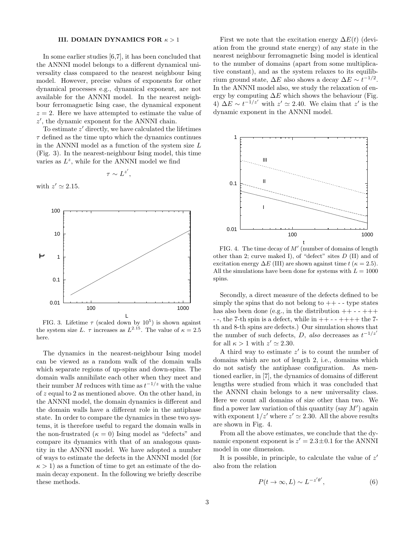# III. DOMAIN DYNAMICS FOR  $\kappa > 1$

In some earlier studies [6,7], it has been concluded that the ANNNI model belongs to a different dynamical universality class compared to the nearest neighbour Ising model. However, precise values of exponents for other dynamical processes e.g., dynamical exponent, are not available for the ANNNI model. In the nearest neighbour ferromagnetic Ising case, the dynamical exponent  $z = 2$ . Here we have attempted to estimate the value of z ′ , the dynamic exponent for the ANNNI chain.

To estimate  $z'$  directly, we have calculated the lifetimes  $\tau$  defined as the time upto which the dynamics continues in the ANNNI model as a function of the system size  $L$ (Fig. 3). In the nearest-neighbour Ising model, this time varies as  $L^z$ , while for the ANNNI model we find

 $\tau \sim L^{z'}$ ,

with  $z' \simeq 2.15$ .



FIG. 3. Lifetime  $\tau$  (scaled down by  $10^5$ ) is shown against the system size L.  $\tau$  increases as  $L^{2.15}$ . The value of  $\kappa = 2.5$ here.

The dynamics in the nearest-neighbour Ising model can be viewed as a random walk of the domain walls which separate regions of up-spins and down-spins. The domain walls annihilate each other when they meet and their number M reduces with time as  $t^{-1/z}$  with the value of z equal to 2 as mentioned above. On the other hand, in the ANNNI model, the domain dynamics is different and the domain walls have a different role in the antiphase state. In order to compare the dynamics in these two systems, it is therefore useful to regard the domain walls in the non-frustrated  $(\kappa = 0)$  Ising model as "defects" and compare its dynamics with that of an analogous quantity in the ANNNI model. We have adopted a number of ways to estimate the defects in the ANNNI model (for  $\kappa > 1$ ) as a function of time to get an estimate of the domain decay exponent. In the following we briefly describe these methods.

First we note that the excitation energy  $\Delta E(t)$  (deviation from the ground state energy) of any state in the nearest neighbour ferromagnetic Ising model is identical to the number of domains (apart from some multiplicative constant), and as the system relaxes to its equilibrium ground state,  $\Delta E$  also shows a decay  $\Delta E \sim t^{-1/2}$ . In the ANNNI model also, we study the relaxation of energy by computing  $\Delta E$  which shows the behaviour (Fig.  $\widetilde{\Delta E} \sim t^{-1/z'}$  with  $z' \simeq 2.40$ . We claim that z' is the dynamic exponent in the ANNNI model.



FIG. 4. The time decay of  $M'$  (number of domains of length other than 2; curve maked I), of "defect" sites  $D$  (II) and of excitation energy  $\Delta E$  (III) are shown against time  $t$  ( $\kappa = 2.5$ ). All the simulations have been done for systems with  $L = 1000$ spins.

Secondly, a direct measure of the defects defined to be simply the spins that do not belong to  $++$  - - type states has also been done (e.g., in the distribution  $++-+++$  $-$ , the 7-th spin is a defect, while in  $++$   $++$   $+$  the 7th and 8-th spins are defects.) Our simulation shows that the number of such defects,  $D$ , also decreases as  $t^{-1/z'}$ for all  $\kappa > 1$  with  $z' \simeq 2.30$ .

A third way to estimate  $z'$  is to count the number of domains which are not of length 2, i.e., domains which do not satisfy the antiphase configuration. As mentioned earlier, in [7], the dynamics of domains of different lengths were studied from which it was concluded that the ANNNI chain belongs to a new universality class. Here we count all domains of size other than two. We find a power law variation of this quantity (say  $M'$ ) again with exponent  $1/z'$  where  $z' \simeq 2.30$ . All the above results are shown in Fig. 4.

From all the above estimates, we conclude that the dynamic exponent exponent is  $z' = 2.3 \pm 0.1$  for the ANNNI model in one dimension.

It is possible, in principle, to calculate the value of  $z'$ also from the relation

$$
P(t \to \infty, L) \sim L^{-z'\theta'}, \tag{6}
$$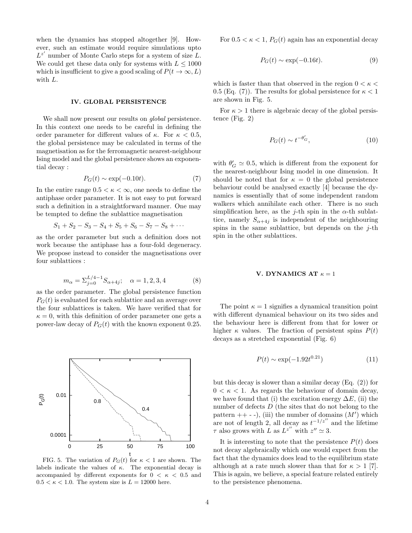when the dynamics has stopped altogether [9]. However, such an estimate would require simulations upto  $L^{z'}$  number of Monte Carlo steps for a system of size  $L$ . We could get these data only for systems with  $L \leq 1000$ which is insufficient to give a good scaling of  $P(t \to \infty, L)$ with L.

## IV. GLOBAL PERSISTENCE

We shall now present our results on *global* persistence. In this context one needs to be careful in defining the order parameter for different values of  $\kappa$ . For  $\kappa < 0.5$ , the global persistence may be calculated in terms of the magnetisation as for the ferromagnetic nearest-neighbour Ising model and the global persistence shows an exponential decay :

$$
P_G(t) \sim \exp(-0.10t). \tag{7}
$$

In the entire range  $0.5 < \kappa < \infty$ , one needs to define the antiphase order parameter. It is not easy to put forward such a definition in a straightforward manner. One may be tempted to define the sublattice magnetisation

$$
S_1 + S_2 - S_3 - S_4 + S_5 + S_6 - S_7 - S_8 + \cdots
$$

as the order parameter but such a definition does not work because the antiphase has a four-fold degeneracy. We propose instead to consider the magnetisations over four sublattices :

$$
m_{\alpha} = \sum_{j=0}^{L/4-1} S_{\alpha+4j}; \quad \alpha = 1, 2, 3, 4 \tag{8}
$$

as the order parameter. The global persistence function  $P_G(t)$  is evaluated for each sublattice and an average over the four sublattices is taken. We have verified that for  $\kappa = 0$ , with this definition of order parameter one gets a power-law decay of  $P_G(t)$  with the known exponent 0.25.



FIG. 5. The variation of  $P_G(t)$  for  $\kappa < 1$  are shown. The labels indicate the values of  $\kappa$ . The exponential decay is accompanied by different exponents for  $0 < \kappa < 0.5$  and  $0.5 < \kappa < 1.0$ . The system size is  $L = 12000$  here.

For  $0.5 < \kappa < 1$ ,  $P_G(t)$  again has an exponential decay

$$
P_G(t) \sim \exp(-0.16t). \tag{9}
$$

which is faster than that observed in the region  $0 < \kappa <$ 0.5 (Eq. (7)). The results for global persistence for  $\kappa < 1$ are shown in Fig. 5.

For  $\kappa > 1$  there is algebraic decay of the global persistence (Fig. 2)

$$
P_G(t) \sim t^{-\theta'_G},\tag{10}
$$

with  $\theta'_{G} \simeq 0.5$ , which is different from the exponent for the nearest-neighbour Ising model in one dimension. It should be noted that for  $\kappa = 0$  the global persistence behaviour could be analysed exactly [4] because the dynamics is essentially that of some independent random walkers which annihilate each other. There is no such simplification here, as the j-th spin in the  $\alpha$ -th sublattice, namely  $S_{\alpha+4j}$  is independent of the neighbouring spins in the same sublattice, but depends on the  $j$ -th spin in the other sublattices.

#### V. DYNAMICS AT  $\kappa = 1$

The point  $\kappa = 1$  signifies a dynamical transition point with different dynamical behaviour on its two sides and the behaviour here is different from that for lower or higher  $\kappa$  values. The fraction of persistent spins  $P(t)$ decays as a stretched exponential (Fig. 6)

$$
P(t) \sim \exp(-1.92t^{0.21})
$$
\n(11)

but this decay is slower than a similar decay (Eq. (2)) for  $0 < \kappa < 1$ . As regards the behaviour of domain decay, we have found that (i) the excitation energy  $\Delta E$ , (ii) the number of defects  $D$  (the sites that do not belong to the pattern  $++$  - -), (iii) the number of domains  $(M')$  which are not of length 2, all decay as  $t^{-1/z''}$  and the lifetime  $\tau$  also grows with  $\overrightarrow{L}$  as  $\overrightarrow{L}^{z''}$  with  $z'' \simeq 3$ .

It is interesting to note that the persistence  $P(t)$  does not decay algebraically which one would expect from the fact that the dynamics does lead to the equilibrium state although at a rate much slower than that for  $\kappa > 1$  [7]. This is again, we believe, a special feature related entirely to the persistence phenomena.